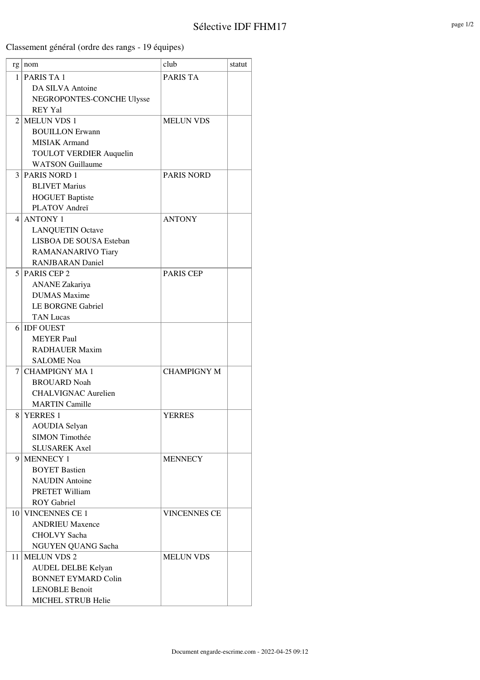Classement général (ordre des rangs - 19 équipes)

|      | $rg \mid nom$                  | club                | statut |
|------|--------------------------------|---------------------|--------|
| 1    | PARIS TA 1                     | <b>PARIS TA</b>     |        |
|      | DA SILVA Antoine               |                     |        |
|      | NEGROPONTES-CONCHE Ulysse      |                     |        |
|      | <b>REY Yal</b>                 |                     |        |
| 2    | <b>MELUN VDS 1</b>             | <b>MELUN VDS</b>    |        |
|      | <b>BOUILLON Erwann</b>         |                     |        |
|      | <b>MISIAK</b> Armand           |                     |        |
|      | <b>TOULOT VERDIER Auquelin</b> |                     |        |
|      | <b>WATSON Guillaume</b>        |                     |        |
| 3    | <b>PARIS NORD 1</b>            | <b>PARIS NORD</b>   |        |
|      | <b>BLIVET Marius</b>           |                     |        |
|      | <b>HOGUET Baptiste</b>         |                     |        |
|      | PLATOV Andreï                  |                     |        |
| 4    | <b>ANTONY 1</b>                | <b>ANTONY</b>       |        |
|      | <b>LANQUETIN Octave</b>        |                     |        |
|      | LISBOA DE SOUSA Esteban        |                     |        |
|      | RAMANANARIVO Tiary             |                     |        |
|      | <b>RANJBARAN Daniel</b>        |                     |        |
|      | $5$ PARIS CEP 2                | <b>PARIS CEP</b>    |        |
|      | <b>ANANE</b> Zakariya          |                     |        |
|      | <b>DUMAS</b> Maxime            |                     |        |
|      | <b>LE BORGNE Gabriel</b>       |                     |        |
|      | <b>TAN Lucas</b>               |                     |        |
| 6    | <b>IDF OUEST</b>               |                     |        |
|      | <b>MEYER Paul</b>              |                     |        |
|      | <b>RADHAUER Maxim</b>          |                     |        |
|      | <b>SALOME</b> Noa              |                     |        |
| 7    | <b>CHAMPIGNY MA1</b>           | <b>CHAMPIGNY M</b>  |        |
|      | <b>BROUARD Noah</b>            |                     |        |
|      | <b>CHALVIGNAC Aurelien</b>     |                     |        |
|      | <b>MARTIN Camille</b>          |                     |        |
| 8    | <b>YERRES 1</b>                | <b>YERRES</b>       |        |
|      | <b>AOUDIA</b> Selyan           |                     |        |
|      | <b>SIMON Timothée</b>          |                     |        |
|      | <b>SLUSAREK Axel</b>           |                     |        |
| 9    | <b>MENNECY 1</b>               | <b>MENNECY</b>      |        |
|      | <b>BOYET Bastien</b>           |                     |        |
|      | <b>NAUDIN</b> Antoine          |                     |        |
|      | <b>PRETET William</b>          |                     |        |
|      | <b>ROY</b> Gabriel             |                     |        |
| 10 I | <b>VINCENNES CE 1</b>          | <b>VINCENNES CE</b> |        |
|      | <b>ANDRIEU Maxence</b>         |                     |        |
|      | <b>CHOLVY</b> Sacha            |                     |        |
|      | NGUYEN QUANG Sacha             |                     |        |
| 11   | <b>MELUN VDS 2</b>             | <b>MELUN VDS</b>    |        |
|      | AUDEL DELBE Kelyan             |                     |        |
|      | <b>BONNET EYMARD Colin</b>     |                     |        |
|      | <b>LENOBLE Benoit</b>          |                     |        |
|      | MICHEL STRUB Helie             |                     |        |